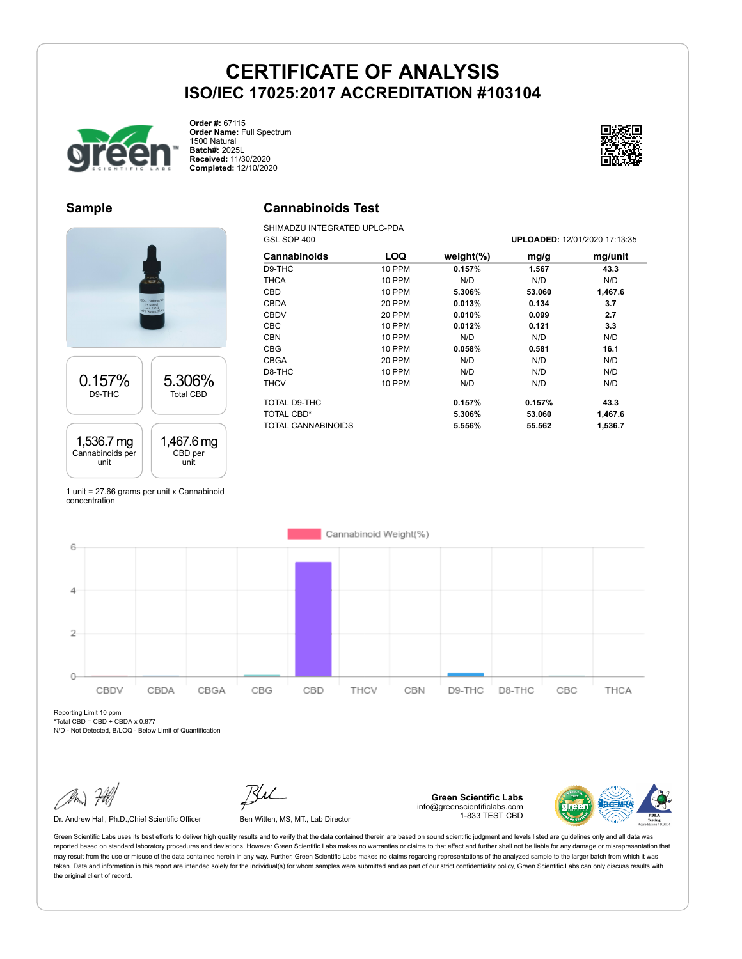

**Order #:** 67115 **Order Name:** Full Spectrum 1500 Natural **Batch#:** 2025L **Received:** 11/30/2020 **Completed:** 12/10/2020



#### **Sample**

### **Cannabinoids Test**

SHIMADZU INTEGRATED UPLC-PDA GSL SOP 400 **UPLOADED:** 12/01/2020 17:13:35

| Cannabinoids               | LOQ           | weight $(\%)$    | mg/g             | mg/unit         |
|----------------------------|---------------|------------------|------------------|-----------------|
| D9-THC                     | 10 PPM        | 0.157%           | 1.567            | 43.3            |
| <b>THCA</b>                | <b>10 PPM</b> | N/D              | N/D              | N/D             |
| <b>CBD</b>                 | <b>10 PPM</b> | 5.306%           | 53.060           | 1,467.6         |
| CBDA                       | 20 PPM        | 0.013%           | 0.134            | 3.7             |
| <b>CBDV</b>                | 20 PPM        | 0.010%           | 0.099            | 2.7             |
| <b>CBC</b>                 | <b>10 PPM</b> | 0.012%           | 0.121            | 3.3             |
| <b>CBN</b>                 | 10 PPM        | N/D              | N/D              | N/D             |
| <b>CBG</b>                 | <b>10 PPM</b> | 0.058%           | 0.581            | 16.1            |
| CBGA                       | 20 PPM        | N/D              | N/D              | N/D             |
| D8-THC                     | <b>10 PPM</b> | N/D              | N/D              | N/D             |
| <b>THCV</b>                | <b>10 PPM</b> | N/D              | N/D              | N/D             |
| TOTAL D9-THC<br>TOTAL CBD* |               | 0.157%<br>5.306% | 0.157%<br>53.060 | 43.3<br>1,467.6 |
| TOTAL CANNABINOIDS         |               | 5.556%           | 55.562           | 1,536.7         |



1 unit = 27.66 grams per unit x Cannabinoid concentration



Reporting Limit 10 ppm

 $*Total CBD = CBD + CBDA \times 0.877$ N/D - Not Detected, B/LOQ - Below Limit of Quantification

Dr. Andrew Hall, Ph.D., Chief Scientific Officer Ben Witten, MS, MT., Lab Director

**Green Scientific Labs** info@greenscientificlabs.com 1-833 TEST CBD

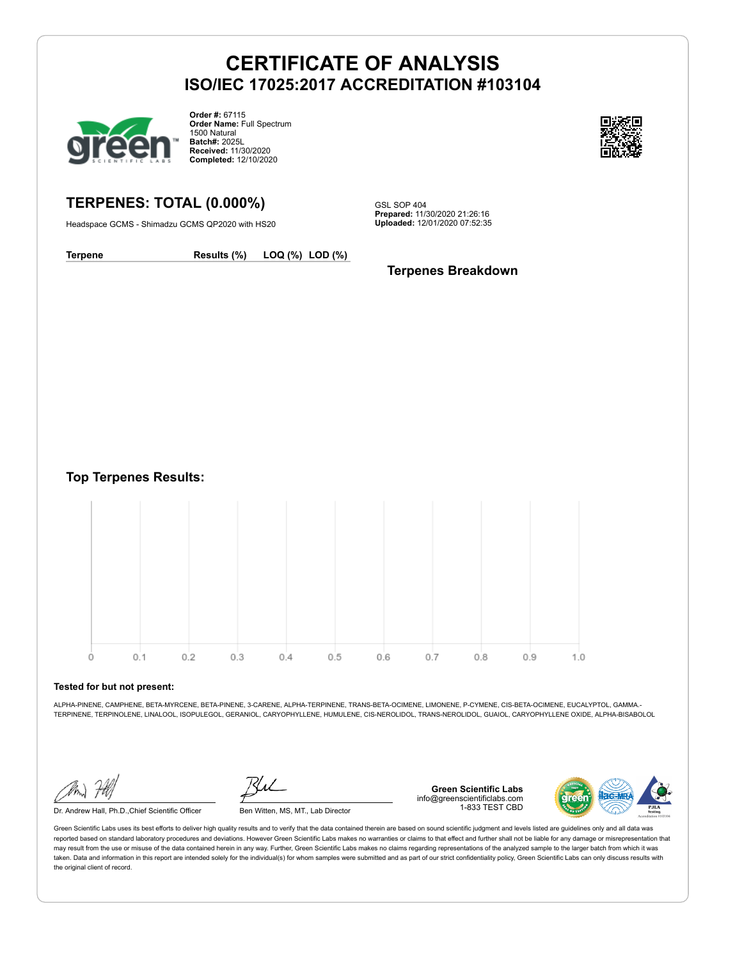

**Order #:** 67115 **Order Name:** Full Spectrum 1500 Natural **Batch#:** 2025L **Received:** 11/30/2020 **Completed:** 12/10/2020



### **TERPENES: TOTAL (0.000%)**

Headspace GCMS - Shimadzu GCMS QP2020 with HS20

GSL SOP 404 **Prepared:** 11/30/2020 21:26:16 **Uploaded:** 12/01/2020 07:52:35

**Terpene Results (%) LOQ (%) LOD (%)**

**Terpenes Breakdown**

**Top Terpenes Results:**



#### **Tested for but not present:**

ALPHA-PINENE, CAMPHENE, BETA-MYRCENE, BETA-PINENE, 3-CARENE, ALPHA-TERPINENE, TRANS-BETA-OCIMENE, LIMONENE, P-CYMENE, CIS-BETA-OCIMENE, EUCALYPTOL, GAMMA.- TERPINENE, TERPINOLENE, LINALOOL, ISOPULEGOL, GERANIOL, CARYOPHYLLENE, HUMULENE, CIS-NEROLIDOL, TRANS-NEROLIDOL, GUAIOL, CARYOPHYLLENE OXIDE, ALPHA-BISABOLOL

Dr. Andrew Hall, Ph.D.,Chief Scientific Officer Ben Witten, MS, MT., Lab Director

**Green Scientific Labs** info@greenscientificlabs.com 1-833 TEST CBD

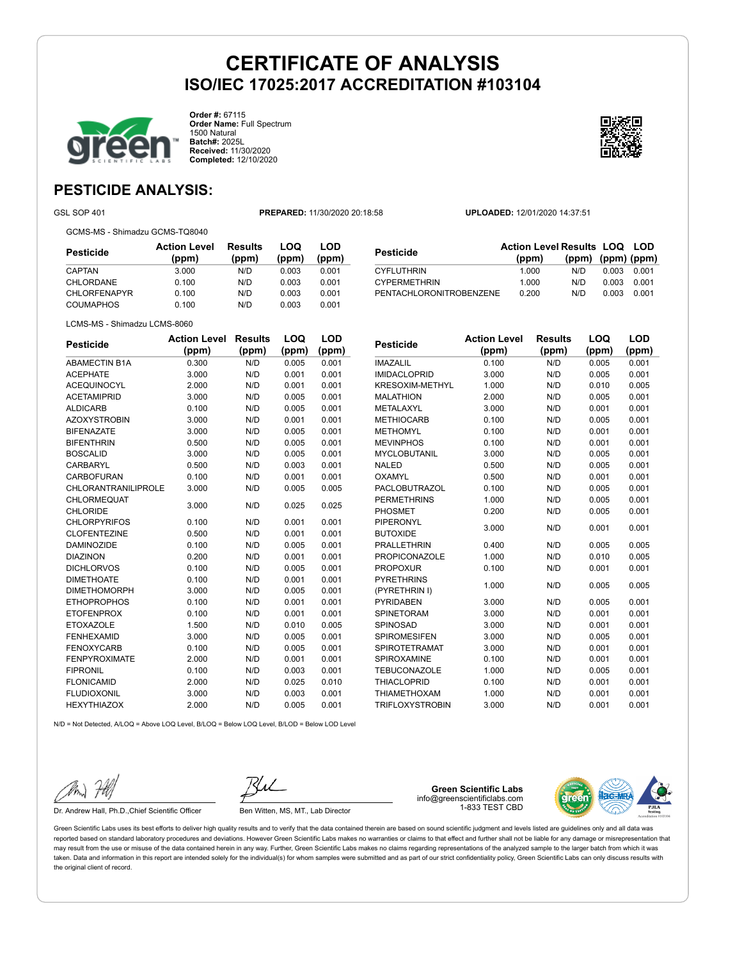

**Order #:** 67115 **Order Name:** Full Spectrum 1500 Natural **Batch#:** 2025L **Received:** 11/30/2020 **Completed:** 12/10/2020



**LOQ**

**LOD**

### **PESTICIDE ANALYSIS:**

GSL SOP 401 **PREPARED:** 11/30/2020 20:18:58 **UPLOADED:** 12/01/2020 14:37:51

GCMS-MS - Shimadzu GCMS-TQ8040

| Pesticide           | <b>Action Level</b><br>(ppm) | Results<br>(ppm) | LOQ<br>(ppm) | LOD<br>(ppm) |
|---------------------|------------------------------|------------------|--------------|--------------|
| CAPTAN              | 3.000                        | N/D              | 0.003        | 0.001        |
| CHLORDANE           | 0.100                        | N/D              | 0.003        | 0.001        |
| <b>CHLORFENAPYR</b> | 0.100                        | N/D              | 0.003        | 0.001        |
| <b>COUMAPHOS</b>    | 0.100                        | N/D              | 0.003        | 0.001        |

**Pesticide Action Level Results LOQ LOD (ppm) (ppm) (ppm) (ppm)** CYFLUTHRIN 1.000 N/D 0.003 0.001 CYPERMETHRIN 1.000 N/D 0.003 0.001 PENTACHLORONITROBENZENE 0.200 N/D 0.003 0.001

| LCMS-MS - Shimadzu LCMS-8060 |
|------------------------------|
|                              |

| <b>Pesticide</b>           | <b>Action Level</b> | <b>Results</b> | LOQ   | LOD   |
|----------------------------|---------------------|----------------|-------|-------|
|                            | (ppm)               | (ppm)          | (ppm) | (ppm) |
| <b>ABAMECTIN B1A</b>       | 0.300               | N/D            | 0.005 | 0.001 |
| <b>ACEPHATE</b>            | 3.000               | N/D            | 0.001 | 0.001 |
| <b>ACEQUINOCYL</b>         | 2.000               | N/D            | 0.001 | 0.001 |
| <b>ACETAMIPRID</b>         | 3.000               | N/D            | 0.005 | 0.001 |
| <b>ALDICARB</b>            | 0.100               | N/D            | 0.005 | 0.001 |
| <b>AZOXYSTROBIN</b>        | 3.000               | N/D            | 0.001 | 0.001 |
| <b>BIFENAZATE</b>          | 3.000               | N/D            | 0.005 | 0.001 |
| <b>BIFENTHRIN</b>          | 0.500               | N/D            | 0.005 | 0.001 |
| <b>BOSCALID</b>            | 3.000               | N/D            | 0.005 | 0.001 |
| CARBARYL                   | 0.500               | N/D            | 0.003 | 0.001 |
| <b>CARBOFURAN</b>          | 0.100               | N/D            | 0.001 | 0.001 |
| <b>CHLORANTRANILIPROLE</b> | 3.000               | N/D            | 0.005 | 0.005 |
| <b>CHLORMEQUAT</b>         | 3.000               | N/D            | 0.025 | 0.025 |
| <b>CHLORIDE</b>            |                     |                |       |       |
| <b>CHLORPYRIFOS</b>        | 0.100               | N/D            | 0.001 | 0.001 |
| <b>CLOFENTEZINE</b>        | 0.500               | N/D            | 0.001 | 0.001 |
| <b>DAMINOZIDE</b>          | 0.100               | N/D            | 0.005 | 0.001 |
| <b>DIAZINON</b>            | 0.200               | N/D            | 0.001 | 0.001 |
| <b>DICHLORVOS</b>          | 0.100               | N/D            | 0.005 | 0.001 |
| <b>DIMETHOATE</b>          | 0.100               | N/D            | 0.001 | 0.001 |
| <b>DIMETHOMORPH</b>        | 3.000               | N/D            | 0.005 | 0.001 |
| <b>ETHOPROPHOS</b>         | 0.100               | N/D            | 0.001 | 0.001 |
| <b>ETOFENPROX</b>          | 0.100               | N/D            | 0.001 | 0.001 |
| <b>ETOXAZOLE</b>           | 1.500               | N/D            | 0.010 | 0.005 |
| <b>FENHEXAMID</b>          | 3.000               | N/D            | 0.005 | 0.001 |
| <b>FENOXYCARB</b>          | 0.100               | N/D            | 0.005 | 0.001 |
| <b>FENPYROXIMATE</b>       | 2.000               | N/D            | 0.001 | 0.001 |
| <b>FIPRONIL</b>            | 0.100               | N/D            | 0.003 | 0.001 |
| <b>FLONICAMID</b>          | 2.000               | N/D            | 0.025 | 0.010 |
| <b>FLUDIOXONIL</b>         | 3.000               | N/D            | 0.003 | 0.001 |
| <b>HEXYTHIAZOX</b>         | 2.000               | N/D            | 0.005 | 0.001 |

| Pesticide              | <b>Action Level</b> | Results | LOQ   | LOD   |
|------------------------|---------------------|---------|-------|-------|
|                        | (ppm)               | (ppm)   | (ppm) | (ppm) |
| <b>IMAZALIL</b>        | 0.100               | N/D     | 0.005 | 0.001 |
| <b>IMIDACLOPRID</b>    | 3.000               | N/D     | 0.005 | 0.001 |
| <b>KRESOXIM-METHYL</b> | 1.000               | N/D     | 0.010 | 0.005 |
| <b>MALATHION</b>       | 2.000               | N/D     | 0.005 | 0.001 |
| <b>METALAXYL</b>       | 3.000               | N/D     | 0.001 | 0.001 |
| <b>METHIOCARB</b>      | 0.100               | N/D     | 0.005 | 0.001 |
| <b>METHOMYL</b>        | 0.100               | N/D     | 0.001 | 0.001 |
| <b>MEVINPHOS</b>       | 0.100               | N/D     | 0.001 | 0.001 |
| <b>MYCLOBUTANIL</b>    | 3.000               | N/D     | 0.005 | 0.001 |
| <b>NALED</b>           | 0.500               | N/D     | 0.005 | 0.001 |
| OXAMYL                 | 0.500               | N/D     | 0.001 | 0.001 |
| PACLOBUTRAZOL          | 0.100               | N/D     | 0.005 | 0.001 |
| <b>PERMETHRINS</b>     | 1.000               | N/D     | 0.005 | 0.001 |
| <b>PHOSMET</b>         | 0.200               | N/D     | 0.005 | 0.001 |
| PIPERONYL              |                     |         |       |       |
| <b>BUTOXIDE</b>        | 3.000               | N/D     | 0.001 | 0.001 |
| <b>PRALLETHRIN</b>     | 0.400               | N/D     | 0.005 | 0.005 |
| <b>PROPICONAZOLE</b>   | 1.000               | N/D     | 0.010 | 0.005 |
| <b>PROPOXUR</b>        | 0.100               | N/D     | 0.001 | 0.001 |
| <b>PYRETHRINS</b>      |                     |         |       |       |
| (PYRETHRIN I)          | 1.000               | N/D     | 0.005 | 0.005 |
| <b>PYRIDABEN</b>       | 3.000               | N/D     | 0.005 | 0.001 |
| <b>SPINETORAM</b>      | 3.000               | N/D     | 0.001 | 0.001 |
| <b>SPINOSAD</b>        | 3.000               | N/D     | 0.001 | 0.001 |
| <b>SPIROMESIFEN</b>    | 3.000               | N/D     | 0.005 | 0.001 |
| <b>SPIROTETRAMAT</b>   | 3.000               | N/D     | 0.001 | 0.001 |
| SPIROXAMINE            | 0.100               | N/D     | 0.001 | 0.001 |
| <b>TEBUCONAZOLE</b>    | 1.000               | N/D     | 0.005 | 0.001 |

THIACLOPRID 0.100 N/D 0.001 0.001 THIAMETHOXAM 1.000 N/D 0.001 0.001 TRIFLOXYSTROBIN 3.000 N/D 0.001 0.001

 $N/D = N$ ot Detected, A/LOQ = Above LOQ Level, B/LOQ = Below LOQ Level, B/LOD = Below LOD Level



Dr. Andrew Hall, Ph.D., Chief Scientific Officer Ben Witten, MS, MT., Lab Director

**Green Scientific Labs** info@greenscientificlabs.com 1-833 TEST CBD

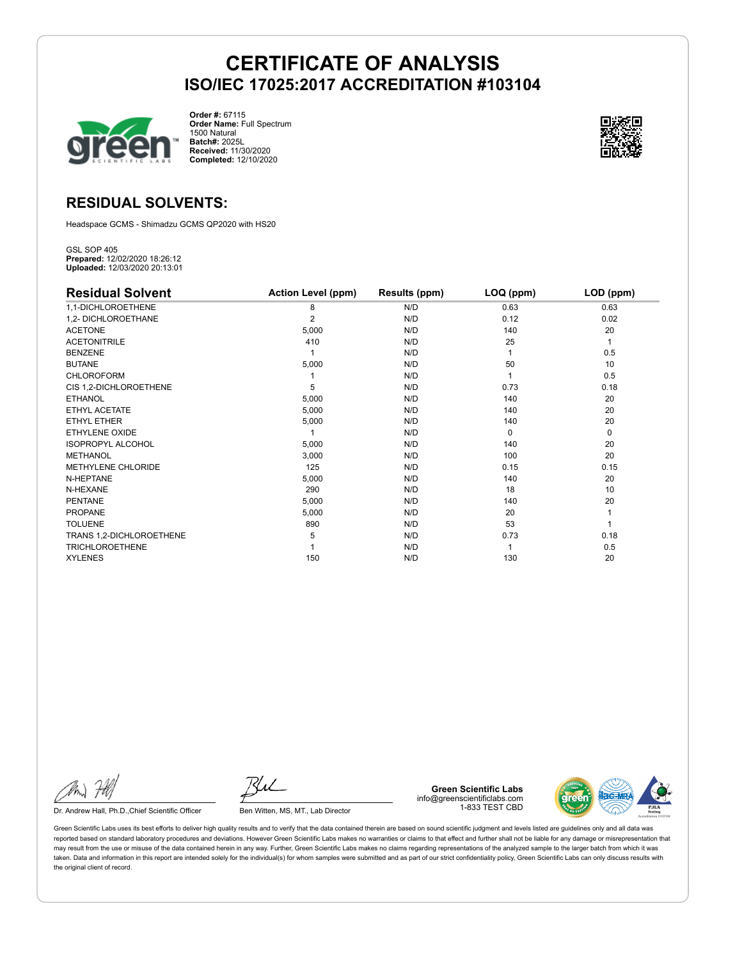

**Order #:** 67115 **Order Name:** Full Spectrum 1500 Natural **Batch#:** 2025L **Received:** 11/30/2020 **Completed:** 12/10/2020



### **RESIDUAL SOLVENTS:**

Headspace GCMS - Shimadzu GCMS QP2020 with HS20

GSL SOP 405 **Prepared:** 12/02/2020 18:26:12 **Uploaded:** 12/03/2020 20:13:01

| <b>Residual Solvent</b>  | <b>Action Level (ppm)</b> | Results (ppm) | LOQ (ppm) | LOD (ppm) |
|--------------------------|---------------------------|---------------|-----------|-----------|
| 1,1-DICHLOROETHENE       | 8                         | N/D           | 0.63      | 0.63      |
| 1,2- DICHLOROETHANE      | $\overline{2}$            | N/D           | 0.12      | 0.02      |
| <b>ACETONE</b>           | 5,000                     | N/D           | 140       | 20        |
| <b>ACETONITRILE</b>      | 410                       | N/D           | 25        | 1         |
| <b>BENZENE</b>           |                           | N/D           |           | 0.5       |
| <b>BUTANE</b>            | 5,000                     | N/D           | 50        | 10        |
| <b>CHLOROFORM</b>        |                           | N/D           |           | 0.5       |
| CIS 1,2-DICHLOROETHENE   | 5                         | N/D           | 0.73      | 0.18      |
| <b>ETHANOL</b>           | 5,000                     | N/D           | 140       | 20        |
| ETHYL ACETATE            | 5,000                     | N/D           | 140       | 20        |
| <b>ETHYL ETHER</b>       | 5,000                     | N/D           | 140       | 20        |
| ETHYLENE OXIDE           |                           | N/D           | $\Omega$  | 0         |
| <b>ISOPROPYL ALCOHOL</b> | 5,000                     | N/D           | 140       | 20        |
| <b>METHANOL</b>          | 3,000                     | N/D           | 100       | 20        |
| METHYLENE CHLORIDE       | 125                       | N/D           | 0.15      | 0.15      |
| N-HEPTANE                | 5,000                     | N/D           | 140       | 20        |
| N-HEXANE                 | 290                       | N/D           | 18        | 10        |
| <b>PENTANE</b>           | 5,000                     | N/D           | 140       | 20        |
| <b>PROPANE</b>           | 5,000                     | N/D           | 20        |           |
| <b>TOLUENE</b>           | 890                       | N/D           | 53        |           |
| TRANS 1,2-DICHLOROETHENE | 5                         | N/D           | 0.73      | 0.18      |
| <b>TRICHLOROETHENE</b>   |                           | N/D           |           | 0.5       |
| <b>XYLENES</b>           | 150                       | N/D           | 130       | 20        |

Dr. Andrew Hall, Ph.D., Chief Scientific Officer Ben Witten, MS, MT., Lab Director

**Green Scientific Labs** info@greenscientificlabs.com 1-833 TEST CBD

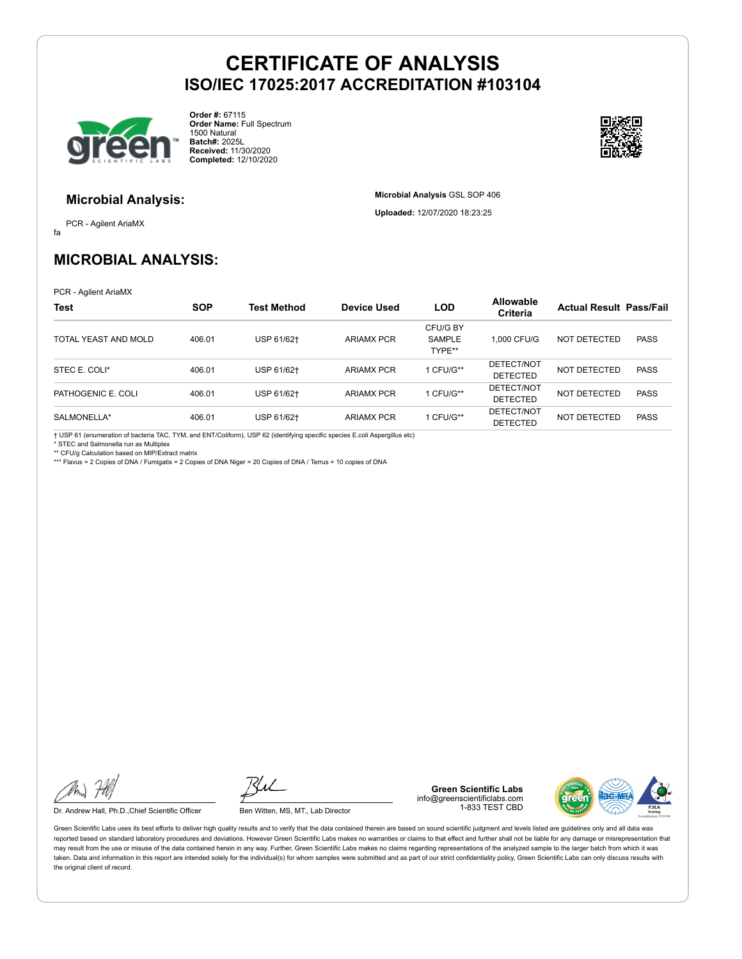

**Order #:** 67115 **Order Name:** Full Spectrum 1500 Natural **Batch#:** 2025L **Received:** 11/30/2020 **Completed:** 12/10/2020



### **Microbial Analysis:**

fa PCR - Agilent AriaMX **Microbial Analysis** GSL SOP 406 **Uploaded:** 12/07/2020 18:23:25

### **MICROBIAL ANALYSIS:**

PCR - Agilent AriaMX

| <b>Test</b>          | <b>SOP</b> | Test Method | Device Used       | <b>LOD</b>                          | <b>Allowable</b><br>Criteria  | <b>Actual Result Pass/Fail</b> |             |
|----------------------|------------|-------------|-------------------|-------------------------------------|-------------------------------|--------------------------------|-------------|
| TOTAL YEAST AND MOLD | 406.01     | USP 61/62+  | <b>ARIAMX PCR</b> | CFU/G BY<br><b>SAMPLE</b><br>TYPE** | 1.000 CFU/G                   | NOT DETECTED                   | <b>PASS</b> |
| STEC E. COLI*        | 406.01     | USP 61/62+  | <b>ARIAMX PCR</b> | 1 CFU/G**                           | DETECT/NOT<br><b>DETECTED</b> | NOT DETECTED                   | <b>PASS</b> |
| PATHOGENIC E. COLI   | 406.01     | USP 61/62+  | <b>ARIAMX PCR</b> | 1 CFU/G**                           | DETECT/NOT<br><b>DETECTED</b> | NOT DETECTED                   | <b>PASS</b> |
| SALMONELLA*          | 406.01     | USP 61/62+  | <b>ARIAMX PCR</b> | 1 CFU/G**                           | DETECT/NOT<br><b>DETECTED</b> | <b>NOT DETECTED</b>            | <b>PASS</b> |

† USP 61 (enumeration of bacteria TAC, TYM, and ENT/Coliform), USP 62 (identifying specific species E.coli Aspergillus etc)

\* STEC and Salmonella run as Multiplex

\*\* CFU/g Calculation based on MIP/Extract matrix \*\*\* Flavus = 2 Copies of DNA / Fumigatis = 2 Copies of DNA Niger = 20 Copies of DNA / Terrus = 10 copies of DNA

Dr. Andrew Hall, Ph.D., Chief Scientific Officer Ben Witten, MS, MT., Lab Director

**Green Scientific Labs** info@greenscientificlabs.com 1-833 TEST CBD